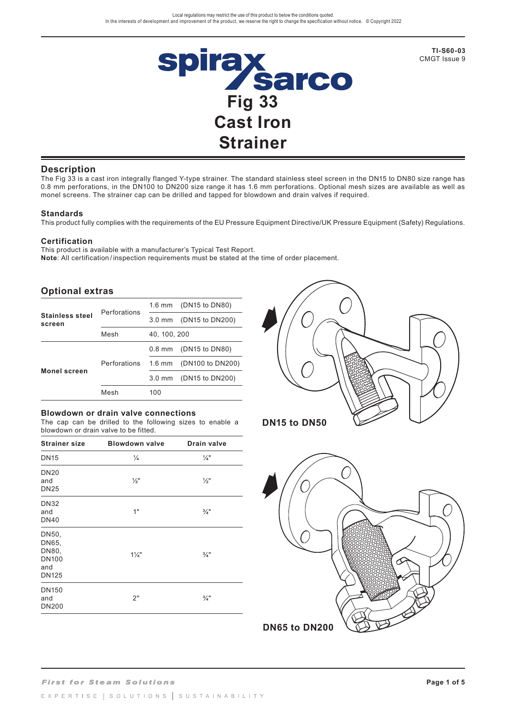

**TI-S60-03** CMGT Issue 9

### **Description**

The Fig 33 is a cast iron integrally flanged Y-type strainer. The standard stainless steel screen in the DN15 to DN80 size range has 0.8 mm perforations, in the DN100 to DN200 size range it has 1.6 mm perforations. Optional mesh sizes are available as well as monel screens. The strainer cap can be drilled and tapped for blowdown and drain valves if required.

#### **Standards**

This product fully complies with the requirements of the EU Pressure Equipment Directive/UK Pressure Equipment (Safety) Regulations.

#### **Certification**

This product is available with a manufacturer's Typical Test Report. **Note**: All certification / inspection requirements must be stated at the time of order placement.

## **Optional extras**

|                                  | Perforations | $1.6$ mm         | (DN15 to DN80)   |  |
|----------------------------------|--------------|------------------|------------------|--|
| <b>Stainless steel</b><br>screen |              | $3.0 \text{ mm}$ | (DN15 to DN200)  |  |
|                                  | Mesh         | 40, 100, 200     |                  |  |
|                                  |              | $0.8$ mm         | (DN15 to DN80)   |  |
| <b>Monel screen</b>              | Perforations | $1.6$ mm         | (DN100 to DN200) |  |
|                                  |              | $3.0 \text{ mm}$ | (DN15 to DN200)  |  |
|                                  | Mesh         | 100              |                  |  |

#### **Blowdown or drain valve connections**

The cap can be drilled to the following sizes to enable a blowdown or drain valve to be fitted.

| <b>Strainer size</b>                                           | <b>Blowdown valve</b> | <b>Drain valve</b> |
|----------------------------------------------------------------|-----------------------|--------------------|
| <b>DN15</b>                                                    | $\frac{1}{4}$         | $\frac{1}{4}$ "    |
| <b>DN20</b><br>and<br><b>DN25</b>                              | $\frac{1}{2}$ "       | $\frac{1}{2}$ "    |
| <b>DN32</b><br>and<br><b>DN40</b>                              | 1"                    | $\frac{3}{4}$ "    |
| DN50,<br>DN65,<br>DN80,<br><b>DN100</b><br>and<br><b>DN125</b> | $1\frac{1}{4}$        | $\frac{3}{4}$ "    |
| <b>DN150</b><br>and<br><b>DN200</b>                            | 2"                    | $\frac{3}{4}$ "    |



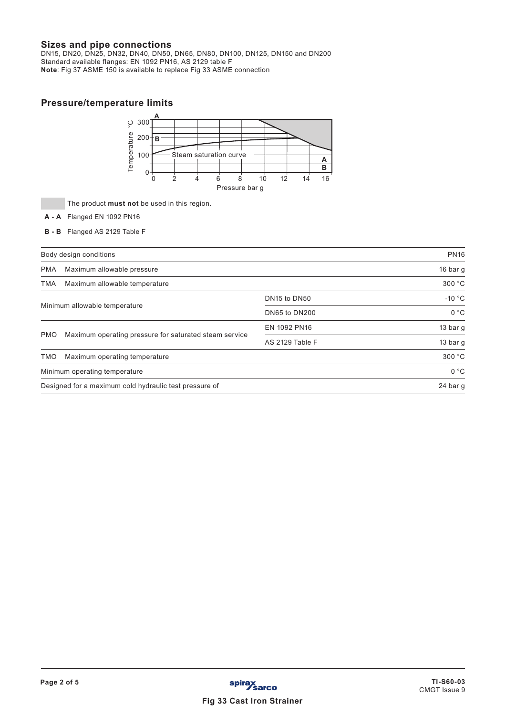# **Sizes and pipe connections**

DN15, DN20, DN25, DN32, DN40, DN50, DN65, DN80, DN100, DN125, DN150 and DN200 Standard available flanges: EN 1092 PN16, AS 2129 table F **Note**: Fig 37 ASME 150 is available to replace Fig 33 ASME connection

# **Pressure/temperature limits**



The product **must not** be used in this region.

- **A A** Flanged EN 1092 PN16
- **B B** Flanged AS 2129 Table F

|                                                                      | Body design conditions        | <b>PN16</b>                          |          |
|----------------------------------------------------------------------|-------------------------------|--------------------------------------|----------|
| <b>PMA</b>                                                           | Maximum allowable pressure    | 16 bar $q$                           |          |
| TMA                                                                  | Maximum allowable temperature |                                      | 300 °C   |
|                                                                      |                               | DN <sub>15</sub> to DN <sub>50</sub> | $-10 °C$ |
| Minimum allowable temperature                                        |                               | DN65 to DN200                        | 0 °C     |
|                                                                      |                               | EN 1092 PN16                         | 13 bar g |
| Maximum operating pressure for saturated steam service<br><b>PMO</b> |                               | AS 2129 Table F                      | 13 bar g |
| <b>TMO</b>                                                           | Maximum operating temperature | 300 °C                               |          |
|                                                                      | Minimum operating temperature |                                      | 0 °C     |
| Designed for a maximum cold hydraulic test pressure of               |                               |                                      | 24 bar g |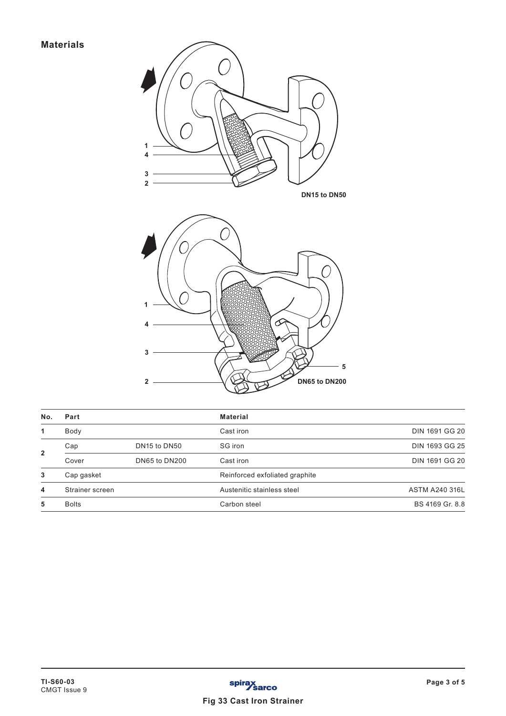

| No.            | Part                   |                                      | <b>Material</b>                |                       |  |
|----------------|------------------------|--------------------------------------|--------------------------------|-----------------------|--|
| 1              | Body                   |                                      | Cast iron                      | <b>DIN 1691 GG 20</b> |  |
|                | Cap                    | DN <sub>15</sub> to DN <sub>50</sub> | SG iron                        | DIN 1693 GG 25        |  |
| $\overline{2}$ | DN65 to DN200<br>Cover |                                      | Cast iron                      | <b>DIN 1691 GG 20</b> |  |
| 3              | Cap gasket             |                                      | Reinforced exfoliated graphite |                       |  |
| 4              | Strainer screen        |                                      | Austenitic stainless steel     | <b>ASTM A240 316L</b> |  |
| 5              | <b>Bolts</b>           |                                      | Carbon steel                   | BS 4169 Gr. 8.8       |  |
|                |                        |                                      |                                |                       |  |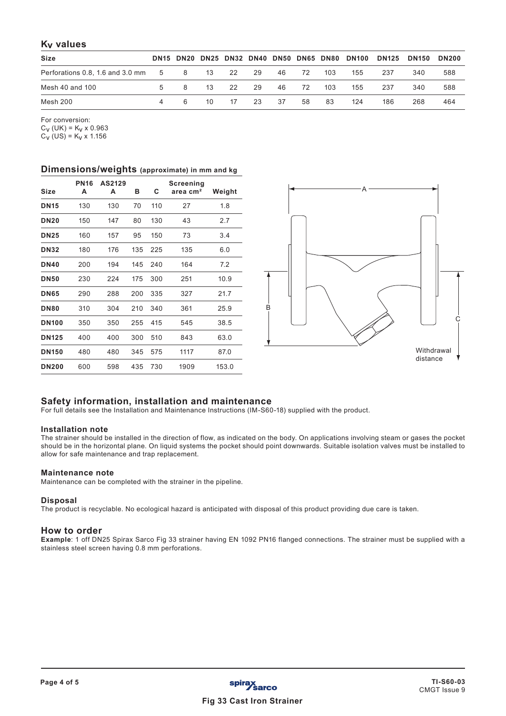# **Kv values**

| <b>Size</b>                        |   |     |         |      |    |      |    |     | DN15 DN20 DN25 DN32 DN40 DN50 DN65 DN80 DN100 |     | <b>DN125 DN150</b> | <b>DN200</b> |
|------------------------------------|---|-----|---------|------|----|------|----|-----|-----------------------------------------------|-----|--------------------|--------------|
| Perforations 0.8, 1.6 and 3.0 mm 5 |   |     | 8 13 22 |      | 29 | 46 — | 72 | 103 | 155                                           | 237 | 340                | 588          |
| Mesh 40 and 100                    | 5 | - 8 | - 13    | - 22 | 29 | 46 — | 72 | 103 | 155                                           | 237 | 340                | 588          |
| Mesh 200                           |   | -6  | 10      | - 17 | 23 | -37  | 58 | 83  | 124                                           | 186 | 268                | 464          |

For conversion:

 $C_V$  (UK) =  $K_V \times 0.963$ 

 $C_V$  (US) =  $K_V$  x 1.156

### **Dimensions/weights (approximate) in mm and kg**

| <b>Size</b>  | <b>PN16</b><br>A | AS2129<br>A | в   | C   | Screening<br>area cm <sup>2</sup> | Weight |
|--------------|------------------|-------------|-----|-----|-----------------------------------|--------|
| <b>DN15</b>  | 130              | 130         | 70  | 110 | 27                                | 1.8    |
| <b>DN20</b>  | 150              | 147         | 80  | 130 | 43                                | 2.7    |
| <b>DN25</b>  | 160              | 157         | 95  | 150 | 73                                | 3.4    |
| <b>DN32</b>  | 180              | 176         | 135 | 225 | 135                               | 6.0    |
| <b>DN40</b>  | 200              | 194         | 145 | 240 | 164                               | 7.2    |
| <b>DN50</b>  | 230              | 224         | 175 | 300 | 251                               | 10.9   |
| <b>DN65</b>  | 290              | 288         | 200 | 335 | 327                               | 21.7   |
| <b>DN80</b>  | 310              | 304         | 210 | 340 | 361                               | 25.9   |
| <b>DN100</b> | 350              | 350         | 255 | 415 | 545                               | 38.5   |
| <b>DN125</b> | 400              | 400         | 300 | 510 | 843                               | 63.0   |
| <b>DN150</b> | 480              | 480         | 345 | 575 | 1117                              | 87.0   |
| <b>DN200</b> | 600              | 598         | 435 | 730 | 1909                              | 153.0  |



## **Safety information, installation and maintenance**

For full details see the Installation and Maintenance Instructions (IM-S60-18) supplied with the product.

### **Installation note**

The strainer should be installed in the direction of flow, as indicated on the body. On applications involving steam or gases the pocket should be in the horizontal plane. On liquid systems the pocket should point downwards. Suitable isolation valves must be installed to allow for safe maintenance and trap replacement.

### **Maintenance note**

Maintenance can be completed with the strainer in the pipeline.

### **Disposal**

The product is recyclable. No ecological hazard is anticipated with disposal of this product providing due care is taken.

### **How to order**

**Example**: 1 off DN25 Spirax Sarco Fig 33 strainer having EN 1092 PN16 flanged connections. The strainer must be supplied with a stainless steel screen having 0.8 mm perforations.